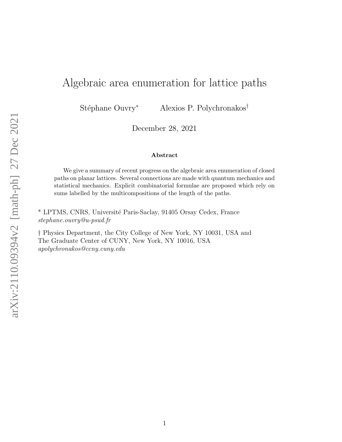## Algebraic area enumeration for lattice paths

Stéphane Ouvry<sup>∗</sup> Alexios P. Polychronakos<sup>†</sup>

December 28, 2021

## Abstract

We give a summary of recent progress on the algebraic area enumeration of closed paths on planar lattices. Several connections are made with quantum mechanics and statistical mechanics. Explicit combinatorial formulae are proposed which rely on sums labelled by the multicompositions of the length of the paths.

\* LPTMS, CNRS, Université Paris-Saclay, 91405 Orsay Cedex, France stephane.ouvry@u-psud.fr

† Physics Department, the City College of New York, NY 10031, USA and The Graduate Center of CUNY, New York, NY 10016, USA apolychronakos@ccny.cuny.edu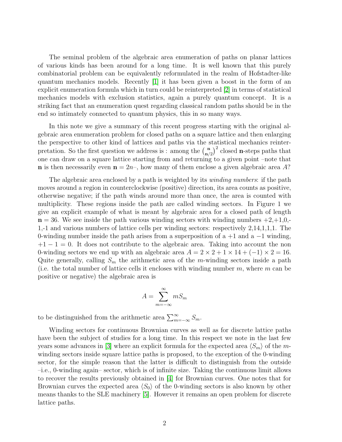The seminal problem of the algebraic area enumeration of paths on planar lattices of various kinds has been around for a long time. It is well known that this purely combinatorial problem can be equivalently reformulated in the realm of Hofstadter-like quantum mechanics models. Recently [\[1\]](#page-10-0) it has been given a boost in the form of an explicit enumeration formula which in turn could be reinterpreted [\[2\]](#page-10-1) in terms of statistical mechanics models with exclusion statistics, again a purely quantum concept. It is a striking fact that an enumeration quest regarding classical random paths should be in the end so intimately connected to quantum physics, this in so many ways.

In this note we give a summary of this recent progress starting with the original algebraic area enumeration problem for closed paths on a square lattice and then enlarging the perspective to other kind of lattices and paths via the statistical mechanics reinterpretation. So the first question we address is : among the  $\binom{n}{n'}$  $\binom{n}{n/2}^2$  closed **n**-steps paths that one can draw on a square lattice starting from and returning to a given point –note that **n** is then necessarily even  $\mathbf{n} = 2n$ , how many of them enclose a given algebraic area A?

The algebraic area enclosed by a path is weighted by its *winding numbers*: if the path moves around a region in counterclockwise (positive) direction, its area counts as positive, otherwise negative; if the path winds around more than once, the area is counted with multiplicity. These regions inside the path are called winding sectors. In Figure 1 we give an explicit example of what is meant by algebraic area for a closed path of length  $n = 36$ . We see inside the path various winding sectors with winding numbers  $+2,+1,0,-$ 1,-1 and various numbers of lattice cells per winding sectors: respectively 2,14,1,1,1. The 0-winding number inside the path arises from a superposition of a  $+1$  and a  $-1$  winding,  $+1-1=0$ . It does not contribute to the algebraic area. Taking into account the non 0-winding sectors we end up with an algebraic area  $A = 2 \times 2 + 1 \times 14 + (-1) \times 2 = 16$ . Quite generally, calling  $S_m$  the arithmetic area of the *m*-winding sectors inside a path (i.e. the total number of lattice cells it encloses with winding number  $m$ , where  $m$  can be positive or negative) the algebraic area is

<span id="page-1-0"></span>
$$
A = \sum_{m=-\infty}^{\infty} m S_m
$$

to be distinguished from the arithmetic area  $\sum_{m=-\infty}^{\infty} S_m$ .

Winding sectors for continuous Brownian curves as well as for discrete lattice paths have been the subject of studies for a long time. In this respect we note in the last few years some advances in [\[3\]](#page-10-2) where an explicit formula for the expected area  $\langle S_m \rangle$  of the mwinding sectors inside square lattice paths is proposed, to the exception of the 0-winding sector, for the simple reason that the latter is difficult to distinguish from the outside –i.e., 0-winding again– sector, which is of infinite size. Taking the continuous limit allows to recover the results previously obtained in [\[4\]](#page-10-3) for Brownian curves. One notes that for Brownian curves the expected area  $\langle S_0 \rangle$  of the 0-winding sectors is also known by other means thanks to the SLE machinery [\[5\]](#page-10-4). However it remains an open problem for discrete lattice paths.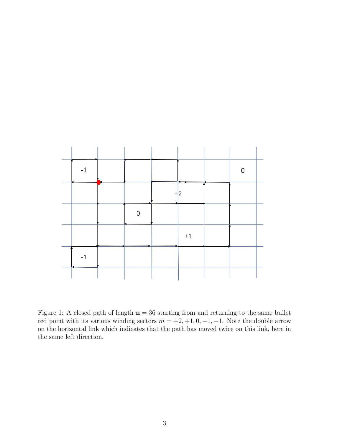

Figure 1: A closed path of length  $n = 36$  starting from and returning to the same bullet red point with its various winding sectors  $m = +2, +1, 0, -1, -1$ . Note the double arrow on the horizontal link which indicates that the path has moved twice on this link, here in the same left direction.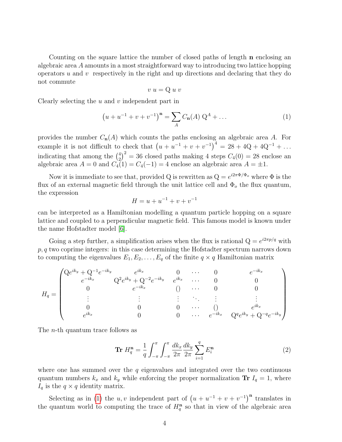Counting on the square lattice the number of closed paths of length n enclosing an algebraic area A amounts in a most straightforward way to introducing two lattice hopping operators  $u$  and  $v$  respectively in the right and up directions and declaring that they do not commute

$$
v u = Q u v
$$

Clearly selecting the  $u$  and  $v$  independent part in

$$
(u + u^{-1} + v + v^{-1})^{\mathbf{n}} = \sum_{A} C_{\mathbf{n}}(A) Q^{A} + \dots
$$
 (1)

provides the number  $C_n(A)$  which counts the paths enclosing an algebraic area A. For example it is not difficult to check that  $(u + u^{-1} + v + v^{-1})^4 = 28 + 4Q + 4Q^{-1} + ...$ indicating that among the  $\binom{4}{3}$  $\binom{4}{2}^2 = 36$  closed paths making 4 steps  $C_4(0) = 28$  enclose an algebraic area  $A = 0$  and  $C_4(1) = C_4(-1) = 4$  enclose an algebraic area  $A = \pm 1$ .

Now it is immediate to see that, provided Q is rewritten as  $Q = e^{i2\pi \Phi/\Phi_o}$  where  $\Phi$  is the flux of an external magnetic field through the unit lattice cell and  $\Phi_o$  the flux quantum, the expression

<span id="page-3-0"></span>
$$
H = u + u^{-1} + v + v^{-1}
$$

can be interpreted as a Hamiltonian modelling a quantum particle hopping on a square lattice and coupled to a perpendicular magnetic field. This famous model is known under the name Hofstadter model [\[6\]](#page-10-5).

Going a step further, a simplification arises when the flux is rational  $Q = e^{i2\pi p/q}$  with  $p, q$  two coprime integers: in this case determining the Hofstadter spectrum narrows down to computing the eigenvalues  $E_1, E_2, \ldots, E_q$  of the finite  $q \times q$  Hamiltonian matrix

$$
H_{q} = \begin{pmatrix} \mathbf{Q}e^{ik_{y}} + \mathbf{Q}^{-1}e^{-ik_{y}} & e^{ik_{x}} & 0 & \cdots & 0 & e^{-ik_{x}} \\ e^{-ik_{x}} & \mathbf{Q}^{2}e^{ik_{y}} + \mathbf{Q}^{-2}e^{-ik_{y}} & e^{ik_{x}} & \cdots & 0 & 0 \\ 0 & e^{-ik_{x}} & 0 & \cdots & 0 & 0 \\ \vdots & \vdots & \vdots & \ddots & \vdots & \vdots \\ 0 & 0 & 0 & \cdots & 0 & e^{ik_{x}} \\ e^{ik_{x}} & 0 & 0 & \cdots & e^{-ik_{x}} & \mathbf{Q}^{q}e^{ik_{y}} + \mathbf{Q}^{-q}e^{-ik_{y}} \end{pmatrix}
$$

The n-th quantum trace follows as

$$
\mathbf{Tr} H_q^{\mathbf{n}} = \frac{1}{q} \int_{-\pi}^{\pi} \int_{-\pi}^{\pi} \frac{dk_x}{2\pi} \frac{dk_y}{2\pi} \sum_{i=1}^{q} E_i^{\mathbf{n}} \tag{2}
$$

where one has summed over the  $q$  eigenvalues and integrated over the two continuous quantum numbers  $k_x$  and  $k_y$  while enforcing the proper normalization Tr  $I_q = 1$ , where  $I_q$  is the  $q \times q$  identity matrix.

Selecting as in [\(1\)](#page-1-0) the u, v independent part of  $(u + u^{-1} + v + v^{-1})^n$  translates in the quantum world to computing the trace of  $H_q^{\mathbf{n}}$  so that in view of the algebraic area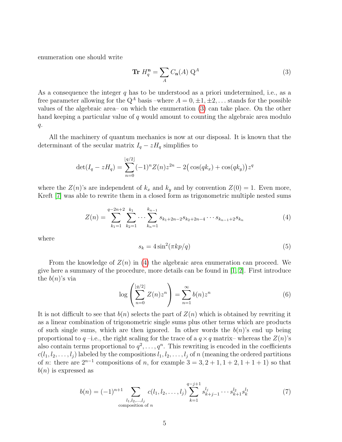enumeration one should write

<span id="page-4-0"></span>
$$
\mathbf{Tr}\ H_q^{\mathbf{n}} = \sum_A C_{\mathbf{n}}(A)\ Q^A \tag{3}
$$

As a consequence the integer  $q$  has to be understood as a priori undetermined, i.e., as a free parameter allowing for the  $Q^A$  basis –where  $A = 0, \pm 1, \pm 2, \ldots$  stands for the possible values of the algebraic area– on which the enumeration [\(3\)](#page-4-0) can take place. On the other hand keeping a particular value of  $q$  would amount to counting the algebraic area modulo  $q$ .

All the machinery of quantum mechanics is now at our disposal. It is known that the determinant of the secular matrix  $I_q - zH_q$  simplifies to

<span id="page-4-1"></span>
$$
\det(I_q - zH_q) = \sum_{n=0}^{\lfloor q/2 \rfloor} (-1)^n Z(n) z^{2n} - 2 (\cos(qk_x) + \cos(qk_y)) z^q
$$

where the  $Z(n)$ 's are independent of  $k_x$  and  $k_y$  and by convention  $Z(0) = 1$ . Even more, Kreft [\[7\]](#page-10-6) was able to rewrite them in a closed form as trigonometric multiple nested sums

$$
Z(n) = \sum_{k_1=1}^{q-2n+2} \sum_{k_2=1}^{k_1} \cdots \sum_{k_n=1}^{k_{n-1}} s_{k_1+2n-2} s_{k_2+2n-4} \cdots s_{k_{n-1}+2} s_{k_n}
$$
(4)

where

<span id="page-4-4"></span>
$$
s_k = 4\sin^2(\pi k p/q) \tag{5}
$$

From the knowledge of  $Z(n)$  in [\(4\)](#page-4-1) the algebraic area enumeration can proceed. We give here a summary of the procedure, more details can be found in [\[1,](#page-10-0) [2\]](#page-10-1). First introduce the  $b(n)$ 's via

<span id="page-4-3"></span>
$$
\log\left(\sum_{n=0}^{\lfloor q/2\rfloor} Z(n)z^n\right) = \sum_{n=1}^{\infty} b(n)z^n\tag{6}
$$

It is not difficult to see that  $b(n)$  selects the part of  $Z(n)$  which is obtained by rewriting it as a linear combination of trigonometric single sums plus other terms which are products of such single sums, which are then ignored. In other words the  $b(n)$ 's end up being proportional to  $q$  –i.e., the right scaling for the trace of a  $q \times q$  matrix– whereas the  $Z(n)$ 's also contain terms proportional to  $q^2, \ldots, q^n$ . This rewriting is encoded in the coefficients  $c(l_1, l_2, \ldots, l_j)$  labeled by the compositions  $l_1, l_2, \ldots, l_j$  of n (meaning the ordered partitions of *n*: there are  $2^{n-1}$  compositions of *n*, for example  $3 = 3, 2 + 1, 1 + 2, 1 + 1 + 1$  so that  $b(n)$  is expressed as

<span id="page-4-2"></span>
$$
b(n) = (-1)^{n+1} \sum_{\substack{l_1, l_2, \dots, l_j \\ \text{composition of } n}} c(l_1, l_2, \dots, l_j) \sum_{k=1}^{q-j+1} s_{k+j-1}^{l_j} \dots s_{k+1}^{l_2} s_k^{l_1}
$$
(7)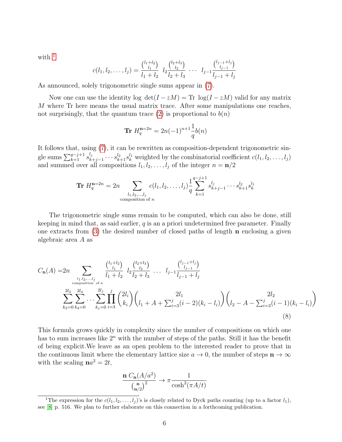with  $1$ 

$$
c(l_1, l_2, \ldots, l_j) = \frac{\binom{l_1 + l_2}{l_1}}{l_1 + l_2} l_2 \frac{\binom{l_2 + l_3}{l_2}}{l_2 + l_3} \cdots l_{j-1} \frac{\binom{l_{j-1} + l_j}{l_{j-1}}}{l_{j-1} + l_j}
$$

As announced, solely trigonometric single sums appear in [\(7\)](#page-4-2).

Now one can use the identity log  $\det(I - zM) = \text{Tr} \log(I - zM)$  valid for any matrix M where Tr here means the usual matrix trace. After some manipulations one reaches, not surprisingly, that the quantum trace [\(2\)](#page-3-0) is proportional to  $b(n)$ 

$$
\mathbf{Tr}\ H_q^{\mathbf{n}=2n} = 2n(-1)^{n+1}\frac{1}{q}b(n)
$$

It follows that, using [\(7\)](#page-4-2), it can be rewritten as composition-dependent trigonometric single sums  $\sum_{k=1}^{q-j+1} s_k^{l_j}$  $k_{k+j-1} \cdots s_{k+1}^{l_2} s_k^{l_1}$  weighted by the combinatorial coefficient  $c(l_1, l_2, \ldots, l_j)$ and summed over all compositions  $l_1, l_2, \ldots, l_j$  of the integer  $n = \mathbf{n}/2$ 

$$
\mathbf{Tr} \ H_q^{\mathbf{n}=2n} = 2n \sum_{\substack{l_1, l_2, \dots, l_j \\ \text{composition of } n}} c(l_1, l_2, \dots, l_j) \frac{1}{q} \sum_{k=1}^{q-j+1} s_{k+j-1}^{l_j} \dots s_{k+1}^{l_2} s_k^{l_1}
$$

The trigonometric single sums remain to be computed, which can also be done, still keeping in mind that, as said earlier,  $q$  is an a priori undetermined free parameter. Finally one extracts from  $(3)$  the desired number of closed paths of length **n** enclosing a given algebraic area A as

$$
C_{\mathbf{n}}(A) = 2n \sum_{\substack{l_1, l_2, \dots, l_j \\ \text{composition of } n}} \frac{\binom{l_1 + l_2}{l_1}}{l_1 + l_2} l_2 \frac{\binom{l_2 + l_3}{l_2}}{l_2 + l_3} \dots l_{j-1} \frac{\binom{l_{j-1} + l_j}{l_{j-1} + l_j}}{\binom{l_{j-1} + l_j}{l_{j-1} + l_j}}
$$
  

$$
\sum_{k_3=0}^{2l_3} \sum_{k_4=0}^{2l_4} \dots \sum_{k_j=0}^{2l_j} \prod_{i=3}^j \binom{2l_i}{k_i} \binom{2l_i}{l_1 + l_1 + \sum_{i=3}^j (i-2)(k_i - l_i)} \binom{2l_2}{l_2 - l_1 - \sum_{i=3}^j (i-1)(k_i - l_i)}
$$

$$
(8)
$$

This formula grows quickly in complexity since the number of compositions on which one has to sum increases like  $2^n$  with the number of steps of the paths. Still it has the benefit of being explicit.We leave as an open problem to the interested reader to prove that in the continuous limit where the elementary lattice size  $a \to 0$ , the number of steps  $\mathbf{n} \to \infty$ with the scaling  $na^2 = 2t$ ,

<span id="page-5-1"></span>
$$
\frac{\mathbf{n} C_{\mathbf{n}}(A/a^2)}{\binom{\mathbf{n}}{\mathbf{n}/2}^2} \to \pi \frac{1}{\cosh^2(\pi A/t)}
$$

<span id="page-5-0"></span><sup>&</sup>lt;sup>1</sup>The expression for the  $c(l_1, l_2, \ldots, l_j)$ 's is closely related to Dyck paths counting (up to a factor  $l_1$ ), see [\[8\]](#page-10-7) p. 516. We plan to further elaborate on this connection in a forthcoming publication.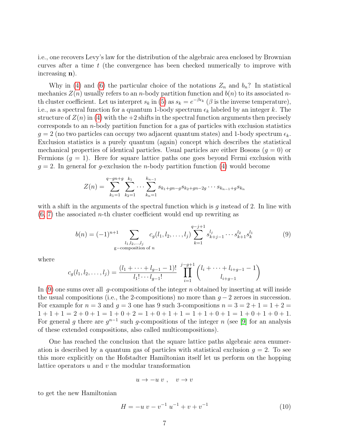i.e., one recovers Levy's law for the distribution of the algebraic area enclosed by Brownian curves after a time  $t$  (the convergence has been checked numerically to improve with increasing n).

Why in [\(4\)](#page-4-1) and [\(6\)](#page-4-3) the particular choice of the notations  $Z_n$  and  $b_n$ ? In statistical mechanics  $Z(n)$  usually refers to an *n*-body partition function and  $b(n)$  to its associated *n*th cluster coefficient. Let us interpret  $s_k$  in [\(5\)](#page-4-4) as  $s_k = e^{-\beta \epsilon_k}$  ( $\beta$  is the inverse temperature), i.e., as a spectral function for a quantum 1-body spectrum  $\epsilon_k$  labeled by an integer k. The structure of  $Z(n)$  in [\(4\)](#page-4-1) with the +2 shifts in the spectral function arguments then precisely corresponds to an  $n$ -body partition function for a gas of particles with exclusion statistics  $g = 2$  (no two particles can occupy two adjacent quantum states) and 1-body spectrum  $\epsilon_k$ . Exclusion statistics is a purely quantum (again) concept which describes the statistical mechanical properties of identical particles. Usual particles are either Bosons ( $g = 0$ ) or Fermions  $(g = 1)$ . Here for square lattice paths one goes beyond Fermi exclusion with  $g = 2$ . In general for g-exclusion the *n*-body partition function [\(4\)](#page-4-1) would become

$$
Z(n) = \sum_{k_1=1}^{q-gn+g} \sum_{k_2=1}^{k_1} \cdots \sum_{k_n=1}^{k_{n-1}} s_{k_1+gn-g} s_{k_2+gn-2g} \cdots s_{k_{n-1}+g} s_{k_n}
$$

with a shift in the arguments of the spectral function which is  $g$  instead of 2. In line with  $(6, 7)$  $(6, 7)$  the associated *n*-th cluster coefficient would end up rewriting as

<span id="page-6-0"></span>
$$
b(n) = (-1)^{n+1} \sum_{\substack{l_1, l_2, \dots, l_j \\ \text{g-composition of } n}} c_g(l_1, l_2, \dots, l_j) \sum_{k=1}^{q-j+1} s_{k+j-1}^{l_j} \dots s_{k+1}^{l_2} s_k^{l_1}
$$
(9)

where

$$
c_g(l_1, l_2, \dots, l_j) = \frac{(l_1 + \dots + l_{g-1} - 1)!}{l_1! \cdots l_{g-1}!} \prod_{i=1}^{j-g+1} {l_i + \dots + l_{i+g-1} - 1 \choose l_{i+g-1}}
$$

In [\(9\)](#page-6-0) one sums over all q-compositions of the integer n obtained by inserting at will inside the usual compositions (i.e., the 2-compositions) no more than  $g - 2$  zeroes in succession. For example for  $n = 3$  and  $q = 3$  one has 9 such 3-compositions  $n = 3 = 2 + 1 = 1 + 2 =$  $1+1+1=2+0+1=1+0+2=1+0+1+1=1+1+0+1=1+0+1+0+1$ . For general g there are  $g^{n-1}$  such g-compositions of the integer n (see [\[9\]](#page-13-0) for an analysis of these extended compositions, also called multicompositions).

One has reached the conclusion that the square lattice paths algebraic area enumeration is described by a quantum gas of particles with statistical exclusion  $g = 2$ . To see this more explicitly on the Hofstadter Hamiltonian itself let us perform on the hopping lattice operators  $u$  and  $v$  the modular transformation

$$
u \to -u \ v \ , \quad v \to v
$$

to get the new Hamiltonian

<span id="page-6-1"></span>
$$
H = -u v - v^{-1} u^{-1} + v + v^{-1}
$$
\n(10)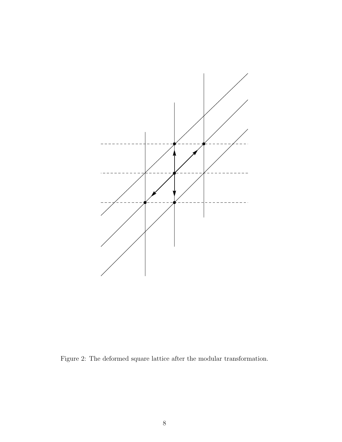

Figure 2: The deformed square lattice after the modular transformation.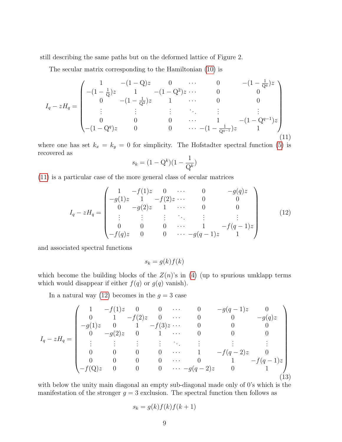still describing the same paths but on the deformed lattice of Figure 2.

The secular matrix corresponding to the Hamiltonian [\(10\)](#page-6-1) is

<span id="page-8-0"></span>
$$
I_{q} - zH_{q} = \begin{pmatrix} 1 & -(1 - Q)z & 0 & \cdots & 0 & -(1 - \frac{1}{Q^{q}})z \\ -(1 - \frac{1}{Q})z & 1 & -(1 - Q^{2})z & \cdots & 0 & 0 \\ 0 & -(1 - \frac{1}{Q^{2}})z & 1 & \cdots & 0 & 0 \\ \vdots & \vdots & \vdots & \ddots & \vdots & \vdots & \vdots \\ 0 & 0 & 0 & \cdots & 1 & -(1 - Q^{q-1})z \\ -(1 - Q^{q})z & 0 & 0 & \cdots & -(1 - \frac{1}{Q^{q-1}})z & 1 \end{pmatrix}
$$
(11)

where one has set  $k_x = k_y = 0$  for simplicity. The Hofstadter spectral function [\(5\)](#page-4-4) is recovered as

$$
s_k = (1 - \mathbf{Q}^k)(1 - \frac{1}{\mathbf{Q}^k})
$$

[\(11\)](#page-8-0) is a particular case of the more general class of secular matrices

<span id="page-8-1"></span>
$$
I_q - zH_q = \begin{pmatrix} 1 & -f(1)z & 0 & \cdots & 0 & -g(q)z \\ -g(1)z & 1 & -f(2)z & \cdots & 0 & 0 \\ 0 & -g(2)z & 1 & \cdots & 0 & 0 \\ \vdots & \vdots & \vdots & \ddots & \vdots & \vdots \\ 0 & 0 & 0 & \cdots & 1 & -f(q-1)z \\ -f(q)z & 0 & 0 & \cdots & -g(q-1)z & 1 \end{pmatrix}
$$
(12)

and associated spectral functions

$$
s_k = g(k)f(k)
$$

which become the building blocks of the  $Z(n)$ 's in [\(4\)](#page-4-1) (up to spurious umklapp terms which would disappear if either  $f(q)$  or  $g(q)$  vanish).

In a natural way [\(12\)](#page-8-1) becomes in the  $g = 3$  case

<span id="page-8-2"></span>
$$
I_q - zH_q = \begin{pmatrix} 1 & -f(1)z & 0 & 0 & \cdots & 0 & -g(q-1)z & 0 \\ 0 & 1 & -f(2)z & 0 & \cdots & 0 & 0 & -g(q)z \\ -g(1)z & 0 & 1 & -f(3)z & \cdots & 0 & 0 & 0 \\ 0 & -g(2)z & 0 & 1 & \cdots & 0 & 0 & 0 \\ \vdots & \vdots & \vdots & \vdots & \ddots & \vdots & \vdots & \vdots \\ 0 & 0 & 0 & 0 & \cdots & 1 & -f(q-2)z & 0 \\ 0 & 0 & 0 & 0 & \cdots & 0 & 1 & -f(q-1)z \\ -f(Q)z & 0 & 0 & 0 & \cdots & -g(q-2)z & 0 & 1 \end{pmatrix}
$$
(13)

with below the unity main diagonal an empty sub-diagonal made only of 0's which is the manifestation of the stronger  $g = 3$  exclusion. The spectral function then follows as

$$
s_k = g(k)f(k)f(k+1)
$$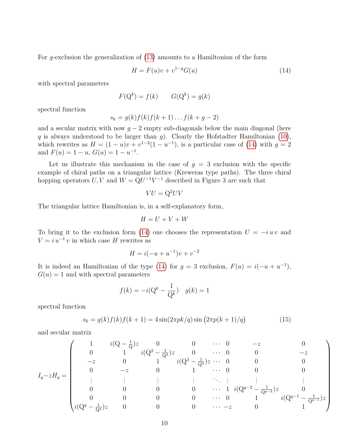For g-exclusion the generalization of [\(13\)](#page-8-2) amounts to a Hamiltonian of the form

<span id="page-9-0"></span>
$$
H = F(u)v + v^{1-g}G(u)
$$
\n(14)

with spectral parameters

$$
F(\mathbf{Q}^k) = f(k) \qquad G(\mathbf{Q}^k) = g(k)
$$

spectral function

$$
s_k = g(k)f(k)f(k+1)\dots f(k+g-2)
$$

and a secular matrix with now  $g - 2$  empty sub-diagonals below the main diagonal (here q is always understood to be larger than q). Clearly the Hofstadter Hamiltonian [\(10\)](#page-6-1), which rewrites as  $H = (1 - u)v + v^{1-2}(1 - u^{-1})$ , is a particular case of [\(14\)](#page-9-0) with  $g = 2$ and  $F(u) = 1 - u$ ,  $G(u) = 1 - u^{-1}$ .

Let us illustrate this mechanism in the case of  $g = 3$  exclusion with the specific example of chiral paths on a triangular lattice (Kreweras type paths). The three chiral hopping operators  $U, V$  and  $W = QU^{-1}V^{-1}$  described in Figure 3 are such that

<span id="page-9-1"></span>
$$
VU = \mathbf{Q}^2 UV
$$

The triangular lattice Hamiltonian is, in a self-explanatory form,

$$
H = U + V + W
$$

To bring it to the exclusion form [\(14\)](#page-9-0) one chooses the representation  $U = -i u v$  and  $V = i u^{-1} v$  in which case H rewrites as

$$
H = i(-u + u^{-1})v + v^{-2}
$$

It is indeed an Hamiltonian of the type [\(14\)](#page-9-0) for  $g = 3$  exclusion,  $F(u) = i(-u + u^{-1})$ ,  $G(u) = 1$  and with spectral parameters

$$
f(k) = -i(Q^k - \frac{1}{Q^k})
$$
  $g(k) = 1$ 

spectral function

$$
s_k = g(k)f(k)f(k+1) = 4\sin(2\pi pk/q)\sin(2\pi p(k+1)/q)
$$
 (15)

and secular matrix

$$
I_q - zH_q = \begin{pmatrix} 1 & i(\mathbf{Q} - \frac{1}{\mathbf{Q}})z & 0 & 0 & \cdots & 0 & -z & 0 \\ 0 & 1 & i(\mathbf{Q}^2 - \frac{1}{\mathbf{Q}^2})z & 0 & \cdots & 0 & 0 & -z \\ -z & 0 & 1 & i(\mathbf{Q}^3 - \frac{1}{\mathbf{Q}^3})z & \cdots & 0 & 0 & 0 \\ 0 & -z & 0 & 1 & \cdots & 0 & 0 & 0 \\ \vdots & \vdots & \vdots & \vdots & \ddots & \vdots & \vdots & \vdots \\ 0 & 0 & 0 & 0 & \cdots & 1 & i(\mathbf{Q}^{q-2} - \frac{1}{\mathbf{Q}^{q-2}})z & 0 \\ 0 & 0 & 0 & 0 & \cdots & 0 & 1 & i(\mathbf{Q}^{q-1} - \frac{1}{\mathbf{Q}^{q-1}})z \\ i(\mathbf{Q}^q - \frac{1}{\mathbf{Q}^q})z & 0 & 0 & \cdots & -z & 0 & 1 \end{pmatrix}
$$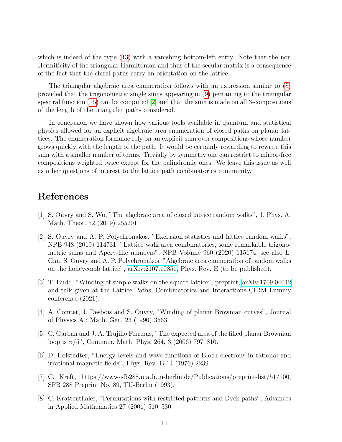which is indeed of the type [\(13\)](#page-8-2) with a vanishing bottom-left entry. Note that the non Hermiticity of the triangular Hamiltonian and thus of the secular matrix is a consequence of the fact that the chiral paths carry an orientation on the lattice.

The triangular algebraic area enumeration follows with an expression similar to [\(8\)](#page-5-1) provided that the trigonometric single sums appearing in [\(9\)](#page-6-0) pertaining to the triangular spectral function [\(15\)](#page-9-1) can be computed [\[2\]](#page-10-1) and that the sum is made on all 3-compositions of the length of the triangular paths considered.

In conclusion we have shown how various tools available in quantum and statistical physics allowed for an explicit algebraic area enumeration of closed paths on planar lattices. The enumeration formulae rely on an explicit sum over compositions whose number grows quickly with the length of the path. It would be certainly rewarding to rewrite this sum with a smaller number of terms. Trivially by symmetry one can restrict to mirror-free compositions weighted twice except for the palindromic ones. We leave this issue as well as other questions of interest to the lattice path combinatorics community.

## References

- <span id="page-10-0"></span>[1] S. Ouvry and S. Wu, "The algebraic area of closed lattice random walks", J. Phys. A: Math. Theor. 52 (2019) 255201.
- <span id="page-10-1"></span>[2] S. Ouvry and A. P. Polychronakos, "Exclusion statistics and lattice random walks", NPB 948 (2019) 114731; "Lattice walk area combinatorics, some remarkable trigonometric sums and Apéry-like numbers", NPB Volume 960 (2020) 115174; see also L. Gan, S. Ouvry and A. P. Polychronakos, "Algebraic area enumeration of random walks on the honeycomb lattice", [arXiv:2107.10851,](http://arxiv.org/abs/2107.10851) Phys. Rev. E (to be published).
- <span id="page-10-2"></span>[3] T. Budd, "Winding of simple walks on the square lattice", preprint, [arXiv:1709.04042](http://arxiv.org/abs/1709.04042) and talk given at the Lattice Paths, Combinatorics and Interactions CIRM Luminy conference (2021).
- <span id="page-10-3"></span>[4] A. Comtet, J. Desbois and S. Ouvry, "Winding of planar Brownian curves", Journal of Physics A : Math. Gen. 23 (1990) 3563.
- <span id="page-10-4"></span>[5] C. Garban and J. A. Trujillo Ferreras, "The expected area of the filled planar Brownian loop is  $\pi/5$ ", Commun. Math. Phys. 264, 3 (2006) 797–810.
- <span id="page-10-5"></span>[6] D. Hofstadter, "Energy levels and wave functions of Bloch electrons in rational and irrational magnetic fields", Phys. Rev. B 14 (1976) 2239.
- <span id="page-10-6"></span>[7] C. Kreft, https://www-sfb288.math.tu-berlin.de/Publications/preprint-list/51/100, SFB 288 Preprint No. 89, TU-Berlin (1993).
- <span id="page-10-7"></span>[8] C. Krattenthaler, "Permutations with restricted patterns and Dyck paths", Advances in Applied Mathematics 27 (2001) 510–530.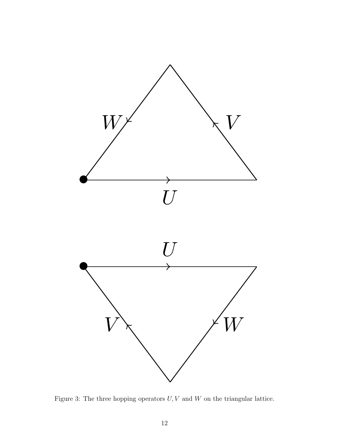

Figure 3: The three hopping operators  $U, V$  and  $W$  on the triangular lattice.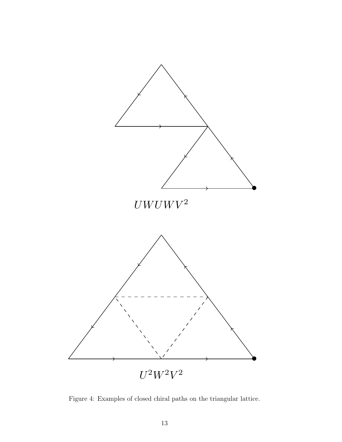

Figure 4: Examples of closed chiral paths on the triangular lattice.